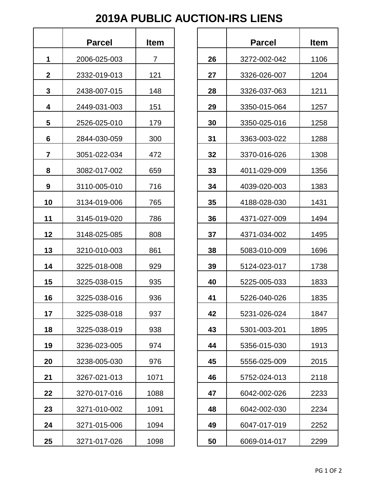## **2019A PUBLIC AUCTION-IRS LIENS**

|    | Parcel       | <b>Item</b> |  |
|----|--------------|-------------|--|
| 1  | 2006-025-003 | 7           |  |
| 2  | 2332-019-013 | 121         |  |
| 3  | 2438-007-015 | 148         |  |
| 4  | 2449-031-003 | 151         |  |
| 5  | 2526-025-010 | 179         |  |
| 6  | 2844-030-059 | 300         |  |
| 7  | 3051-022-034 | 472         |  |
| 8  | 3082-017-002 | 659         |  |
| 9  | 3110-005-010 | 716         |  |
| 10 | 3134-019-006 | 765         |  |
| 11 | 3145-019-020 | 786         |  |
| 12 | 3148-025-085 | 808         |  |
| 13 | 3210-010-003 | 861         |  |
| 14 | 3225-018-008 | 929         |  |
| 15 | 3225-038-015 | 935         |  |
| 16 | 3225-038-016 | 936         |  |
| 17 | 3225-038-018 | 937         |  |
| 18 | 3225-038-019 | 938         |  |
| 19 | 3236-023-005 | 974         |  |
| 20 | 3238-005-030 | 976         |  |
| 21 | 3267-021-013 | 1071        |  |
| 22 | 3270-017-016 | 1088        |  |
| 23 | 3271-010-002 | 1091        |  |
| 24 | 3271-015-006 | 1094        |  |
| 25 | 3271-017-026 | 1098        |  |

|                         | <b>Parcel</b> | <b>Item</b>    |    | <b>Parcel</b> | <b>Item</b> |
|-------------------------|---------------|----------------|----|---------------|-------------|
| $\mathbf 1$             | 2006-025-003  | $\overline{7}$ | 26 | 3272-002-042  | 1106        |
| $\boldsymbol{2}$        | 2332-019-013  | 121            | 27 | 3326-026-007  | 1204        |
| $\boldsymbol{3}$        | 2438-007-015  | 148            | 28 | 3326-037-063  | 1211        |
| 4                       | 2449-031-003  | 151            | 29 | 3350-015-064  | 1257        |
| $\overline{\mathbf{5}}$ | 2526-025-010  | 179            | 30 | 3350-025-016  | 1258        |
| 6                       | 2844-030-059  | 300            | 31 | 3363-003-022  | 1288        |
| $\overline{7}$          | 3051-022-034  | 472            | 32 | 3370-016-026  | 1308        |
| 8                       | 3082-017-002  | 659            | 33 | 4011-029-009  | 1356        |
| 9                       | 3110-005-010  | 716            | 34 | 4039-020-003  | 1383        |
| 10                      | 3134-019-006  | 765            | 35 | 4188-028-030  | 1431        |
| 11                      | 3145-019-020  | 786            | 36 | 4371-027-009  | 1494        |
| 12                      | 3148-025-085  | 808            | 37 | 4371-034-002  | 1495        |
| 13                      | 3210-010-003  | 861            | 38 | 5083-010-009  | 1696        |
| 14                      | 3225-018-008  | 929            | 39 | 5124-023-017  | 1738        |
| 15                      | 3225-038-015  | 935            | 40 | 5225-005-033  | 1833        |
| 16                      | 3225-038-016  | 936            | 41 | 5226-040-026  | 1835        |
| 17                      | 3225-038-018  | 937            | 42 | 5231-026-024  | 1847        |
| 18                      | 3225-038-019  | 938            | 43 | 5301-003-201  | 1895        |
| 19                      | 3236-023-005  | 974            | 44 | 5356-015-030  | 1913        |
| 20                      | 3238-005-030  | 976            | 45 | 5556-025-009  | 2015        |
| 21                      | 3267-021-013  | 1071           | 46 | 5752-024-013  | 2118        |
| 22                      | 3270-017-016  | 1088           | 47 | 6042-002-026  | 2233        |
| 23                      | 3271-010-002  | 1091           | 48 | 6042-002-030  | 2234        |
| 24                      | 3271-015-006  | 1094           | 49 | 6047-017-019  | 2252        |
| 25                      | 3271-017-026  | 1098           | 50 | 6069-014-017  | 2299        |